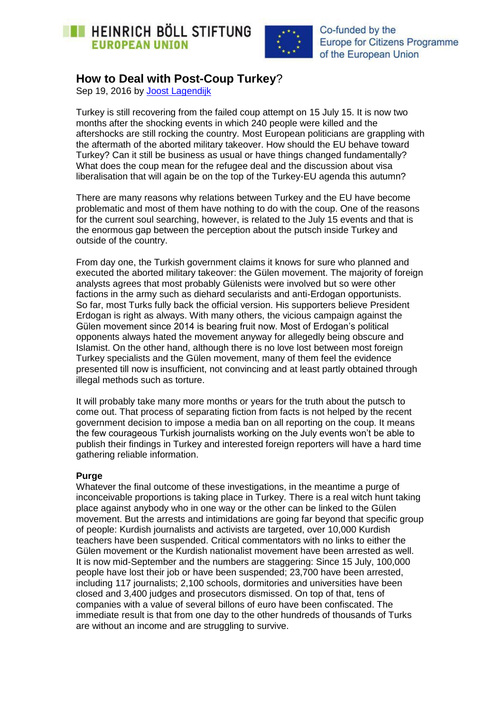



Co-funded by the **Europe for Citizens Programme** of the European Union

## **How to Deal with Post-Coup Turkey**?

Sep 19, 2016 by [Joost Lagendijk](https://eu.boell.org/en/person/joost-lagendijk) 

Turkey is still recovering from the failed coup attempt on 15 July 15. It is now two months after the shocking events in which 240 people were killed and the aftershocks are still rocking the country. Most European politicians are grappling with the aftermath of the aborted military takeover. How should the EU behave toward Turkey? Can it still be business as usual or have things changed fundamentally? What does the coup mean for the refugee deal and the discussion about visa liberalisation that will again be on the top of the Turkey-EU agenda this autumn?

There are many reasons why relations between Turkey and the EU have become problematic and most of them have nothing to do with the coup. One of the reasons for the current soul searching, however, is related to the July 15 events and that is the enormous gap between the perception about the putsch inside Turkey and outside of the country.

From day one, the Turkish government claims it knows for sure who planned and executed the aborted military takeover: the Gülen movement. The majority of foreign analysts agrees that most probably Gülenists were involved but so were other factions in the army such as diehard secularists and anti-Erdogan opportunists. So far, most Turks fully back the official version. His supporters believe President Erdogan is right as always. With many others, the vicious campaign against the Gülen movement since 2014 is bearing fruit now. Most of Erdogan's political opponents always hated the movement anyway for allegedly being obscure and Islamist. On the other hand, although there is no love lost between most foreign Turkey specialists and the Gülen movement, many of them feel the evidence presented till now is insufficient, not convincing and at least partly obtained through illegal methods such as torture.

It will probably take many more months or years for the truth about the putsch to come out. That process of separating fiction from facts is not helped by the recent government decision to impose a media ban on all reporting on the coup. It means the few courageous Turkish journalists working on the July events won't be able to publish their findings in Turkey and interested foreign reporters will have a hard time gathering reliable information.

## **Purge**

Whatever the final outcome of these investigations, in the meantime a purge of inconceivable proportions is taking place in Turkey. There is a real witch hunt taking place against anybody who in one way or the other can be linked to the Gülen movement. But the arrests and intimidations are going far beyond that specific group of people: Kurdish journalists and activists are targeted, over 10,000 Kurdish teachers have been suspended. Critical commentators with no links to either the Gülen movement or the Kurdish nationalist movement have been arrested as well. It is now mid-September and the numbers are staggering: Since 15 July, 100,000 people have lost their job or have been suspended; 23,700 have been arrested, including 117 journalists; 2,100 schools, dormitories and universities have been closed and 3,400 judges and prosecutors dismissed. On top of that, tens of companies with a value of several billons of euro have been confiscated. The immediate result is that from one day to the other hundreds of thousands of Turks are without an income and are struggling to survive.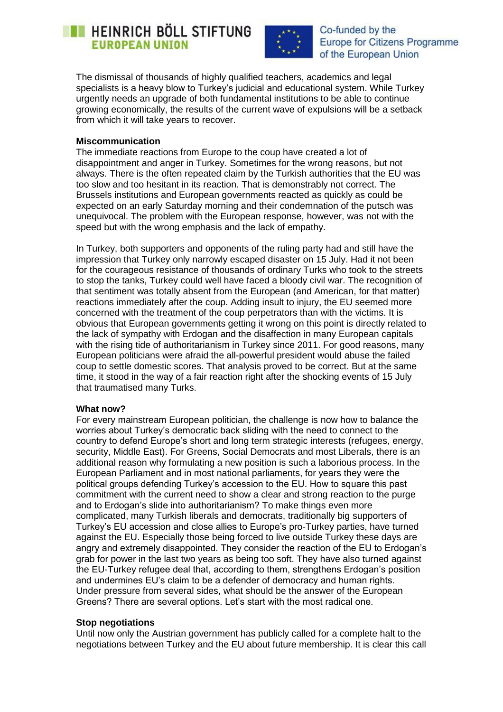# **EXECUTE HEINRICH BÖLL STIFTUNG EUROPEAN UNION**



Co-funded by the **Europe for Citizens Programme** of the European Union

The dismissal of thousands of highly qualified teachers, academics and legal specialists is a heavy blow to Turkey's judicial and educational system. While Turkey urgently needs an upgrade of both fundamental institutions to be able to continue growing economically, the results of the current wave of expulsions will be a setback from which it will take years to recover.

### **Miscommunication**

The immediate reactions from Europe to the coup have created a lot of disappointment and anger in Turkey. Sometimes for the wrong reasons, but not always. There is the often repeated claim by the Turkish authorities that the EU was too slow and too hesitant in its reaction. That is demonstrably not correct. The Brussels institutions and European governments reacted as quickly as could be expected on an early Saturday morning and their condemnation of the putsch was unequivocal. The problem with the European response, however, was not with the speed but with the wrong emphasis and the lack of empathy.

In Turkey, both supporters and opponents of the ruling party had and still have the impression that Turkey only narrowly escaped disaster on 15 July. Had it not been for the courageous resistance of thousands of ordinary Turks who took to the streets to stop the tanks, Turkey could well have faced a bloody civil war. The recognition of that sentiment was totally absent from the European (and American, for that matter) reactions immediately after the coup. Adding insult to injury, the EU seemed more concerned with the treatment of the coup perpetrators than with the victims. It is obvious that European governments getting it wrong on this point is directly related to the lack of sympathy with Erdogan and the disaffection in many European capitals with the rising tide of authoritarianism in Turkey since 2011. For good reasons, many European politicians were afraid the all-powerful president would abuse the failed coup to settle domestic scores. That analysis proved to be correct. But at the same time, it stood in the way of a fair reaction right after the shocking events of 15 July that traumatised many Turks.

### **What now?**

For every mainstream European politician, the challenge is now how to balance the worries about Turkey's democratic back sliding with the need to connect to the country to defend Europe's short and long term strategic interests (refugees, energy, security, Middle East). For Greens, Social Democrats and most Liberals, there is an additional reason why formulating a new position is such a laborious process. In the European Parliament and in most national parliaments, for years they were the political groups defending Turkey's accession to the EU. How to square this past commitment with the current need to show a clear and strong reaction to the purge and to Erdogan's slide into authoritarianism? To make things even more complicated, many Turkish liberals and democrats, traditionally big supporters of Turkey's EU accession and close allies to Europe's pro-Turkey parties, have turned against the EU. Especially those being forced to live outside Turkey these days are angry and extremely disappointed. They consider the reaction of the EU to Erdogan's grab for power in the last two years as being too soft. They have also turned against the EU-Turkey refugee deal that, according to them, strengthens Erdogan's position and undermines EU's claim to be a defender of democracy and human rights. Under pressure from several sides, what should be the answer of the European Greens? There are several options. Let's start with the most radical one.

## **Stop negotiations**

Until now only the Austrian government has publicly called for a complete halt to the negotiations between Turkey and the EU about future membership. It is clear this call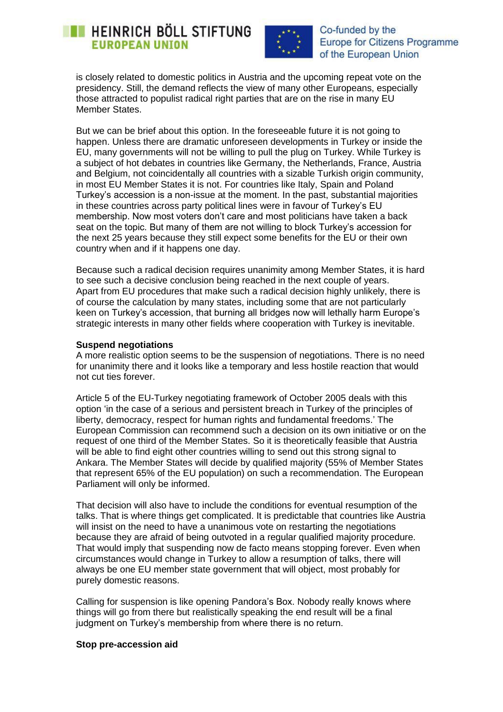## **EXECUTE: HEINRICH BÖLL STIFTUNG EUROPEAN UNION**



Co-funded by the **Europe for Citizens Programme** of the European Union

is closely related to domestic politics in Austria and the upcoming repeat vote on the presidency. Still, the demand reflects the view of many other Europeans, especially those attracted to populist radical right parties that are on the rise in many EU Member States.

But we can be brief about this option. In the foreseeable future it is not going to happen. Unless there are dramatic unforeseen developments in Turkey or inside the EU, many governments will not be willing to pull the plug on Turkey. While Turkey is a subject of hot debates in countries like Germany, the Netherlands, France, Austria and Belgium, not coincidentally all countries with a sizable Turkish origin community, in most EU Member States it is not. For countries like Italy, Spain and Poland Turkey's accession is a non-issue at the moment. In the past, substantial majorities in these countries across party political lines were in favour of Turkey's EU membership. Now most voters don't care and most politicians have taken a back seat on the topic. But many of them are not willing to block Turkey's accession for the next 25 years because they still expect some benefits for the EU or their own country when and if it happens one day.

Because such a radical decision requires unanimity among Member States, it is hard to see such a decisive conclusion being reached in the next couple of years. Apart from EU procedures that make such a radical decision highly unlikely, there is of course the calculation by many states, including some that are not particularly keen on Turkey's accession, that burning all bridges now will lethally harm Europe's strategic interests in many other fields where cooperation with Turkey is inevitable.

### **Suspend negotiations**

A more realistic option seems to be the suspension of negotiations. There is no need for unanimity there and it looks like a temporary and less hostile reaction that would not cut ties forever.

Article 5 of the EU-Turkey negotiating framework of October 2005 deals with this option 'in the case of a serious and persistent breach in Turkey of the principles of liberty, democracy, respect for human rights and fundamental freedoms.' The European Commission can recommend such a decision on its own initiative or on the request of one third of the Member States. So it is theoretically feasible that Austria will be able to find eight other countries willing to send out this strong signal to Ankara. The Member States will decide by qualified majority (55% of Member States that represent 65% of the EU population) on such a recommendation. The European Parliament will only be informed.

That decision will also have to include the conditions for eventual resumption of the talks. That is where things get complicated. It is predictable that countries like Austria will insist on the need to have a unanimous vote on restarting the negotiations because they are afraid of being outvoted in a regular qualified majority procedure. That would imply that suspending now de facto means stopping forever. Even when circumstances would change in Turkey to allow a resumption of talks, there will always be one EU member state government that will object, most probably for purely domestic reasons.

Calling for suspension is like opening Pandora's Box. Nobody really knows where things will go from there but realistically speaking the end result will be a final judgment on Turkey's membership from where there is no return.

### **Stop pre-accession aid**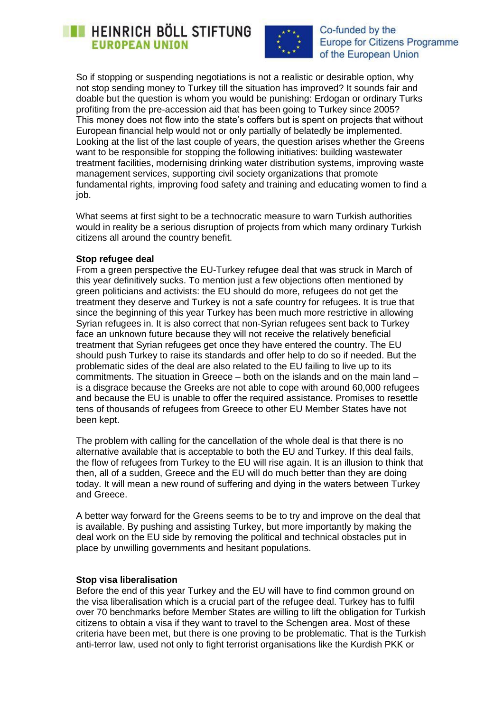## **HEINRICH BÖLL STIFTUNG EUROPEAN UNION**



Co-funded by the **Europe for Citizens Programme** of the European Union

So if stopping or suspending negotiations is not a realistic or desirable option, why not stop sending money to Turkey till the situation has improved? It sounds fair and doable but the question is whom you would be punishing: Erdogan or ordinary Turks profiting from the pre-accession aid that has been going to Turkey since 2005? This money does not flow into the state's coffers but is spent on projects that without European financial help would not or only partially of belatedly be implemented. Looking at the list of the last couple of years, the question arises whether the Greens want to be responsible for stopping the following initiatives: building wastewater treatment facilities, modernising drinking water distribution systems, improving waste management services, supporting civil society organizations that promote fundamental rights, improving food safety and training and educating women to find a job.

What seems at first sight to be a technocratic measure to warn Turkish authorities would in reality be a serious disruption of projects from which many ordinary Turkish citizens all around the country benefit.

### **Stop refugee deal**

From a green perspective the EU-Turkey refugee deal that was struck in March of this year definitively sucks. To mention just a few objections often mentioned by green politicians and activists: the EU should do more, refugees do not get the treatment they deserve and Turkey is not a safe country for refugees. It is true that since the beginning of this year Turkey has been much more restrictive in allowing Syrian refugees in. It is also correct that non-Syrian refugees sent back to Turkey face an unknown future because they will not receive the relatively beneficial treatment that Syrian refugees get once they have entered the country. The EU should push Turkey to raise its standards and offer help to do so if needed. But the problematic sides of the deal are also related to the EU failing to live up to its commitments. The situation in Greece – both on the islands and on the main land – is a disgrace because the Greeks are not able to cope with around 60,000 refugees and because the EU is unable to offer the required assistance. Promises to resettle tens of thousands of refugees from Greece to other EU Member States have not been kept.

The problem with calling for the cancellation of the whole deal is that there is no alternative available that is acceptable to both the EU and Turkey. If this deal fails, the flow of refugees from Turkey to the EU will rise again. It is an illusion to think that then, all of a sudden, Greece and the EU will do much better than they are doing today. It will mean a new round of suffering and dying in the waters between Turkey and Greece.

A better way forward for the Greens seems to be to try and improve on the deal that is available. By pushing and assisting Turkey, but more importantly by making the deal work on the EU side by removing the political and technical obstacles put in place by unwilling governments and hesitant populations.

### **Stop visa liberalisation**

Before the end of this year Turkey and the EU will have to find common ground on the visa liberalisation which is a crucial part of the refugee deal. Turkey has to fulfil over 70 benchmarks before Member States are willing to lift the obligation for Turkish citizens to obtain a visa if they want to travel to the Schengen area. Most of these criteria have been met, but there is one proving to be problematic. That is the Turkish anti-terror law, used not only to fight terrorist organisations like the Kurdish PKK or